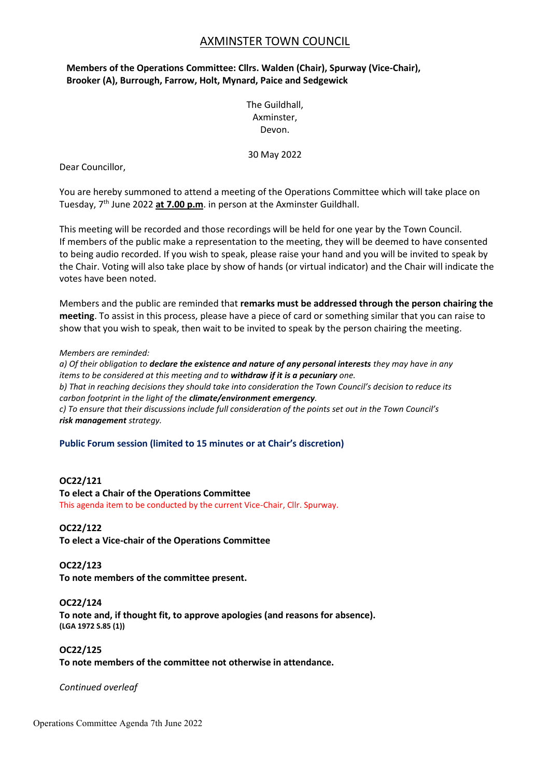# AXMINSTER TOWN COUNCIL

# **Members of the Operations Committee: Cllrs. Walden (Chair), Spurway (Vice-Chair), Brooker (A), Burrough, Farrow, Holt, Mynard, Paice and Sedgewick**

The Guildhall, Axminster, Devon.

30 May 2022

Dear Councillor,

You are hereby summoned to attend a meeting of the Operations Committee which will take place on Tuesday, 7<sup>th</sup> June 2022 at 7.00 p.m. in person at the Axminster Guildhall.

This meeting will be recorded and those recordings will be held for one year by the Town Council. If members of the public make a representation to the meeting, they will be deemed to have consented to being audio recorded. If you wish to speak, please raise your hand and you will be invited to speak by the Chair. Voting will also take place by show of hands (or virtual indicator) and the Chair will indicate the votes have been noted.

Members and the public are reminded that **remarks must be addressed through the person chairing the meeting**. To assist in this process, please have a piece of card or something similar that you can raise to show that you wish to speak, then wait to be invited to speak by the person chairing the meeting.

#### *Members are reminded:*

*a) Of their obligation to declare the existence and nature of any personal interests they may have in any items to be considered at this meeting and to withdraw if it is a pecuniary one. b) That in reaching decisions they should take into consideration the Town Council's decision to reduce its carbon footprint in the light of the climate/environment emergency. c) To ensure that their discussions include full consideration of the points set out in the Town Council's risk management strategy.*

## **Public Forum session (limited to 15 minutes or at Chair's discretion)**

## **OC22/121**

**To elect a Chair of the Operations Committee** This agenda item to be conducted by the current Vice-Chair, Cllr. Spurway.

#### **OC22/122**

**To elect a Vice-chair of the Operations Committee**

#### **OC22/123**

**To note members of the committee present.**

#### **OC22/124**

**To note and, if thought fit, to approve apologies (and reasons for absence). (LGA 1972 S.85 (1))**

### **OC22/125**

**To note members of the committee not otherwise in attendance.**

*Continued overleaf*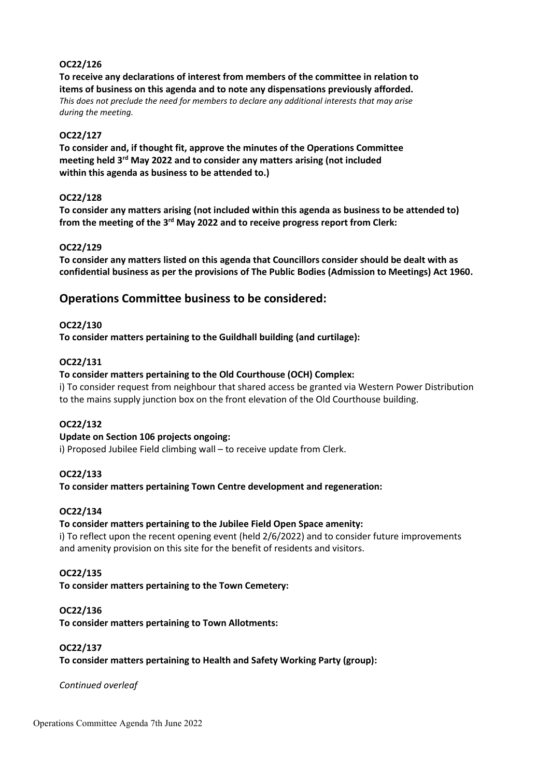## **OC22/126**

**To receive any declarations of interest from members of the committee in relation to items of business on this agenda and to note any dispensations previously afforded.** *This does not preclude the need for members to declare any additional interests that may arise during the meeting.*

### **OC22/127**

**To consider and, if thought fit, approve the minutes of the Operations Committee meeting held 3 rd May 2022 and to consider any matters arising (not included within this agenda as business to be attended to.)**

### **OC22/128**

**To consider any matters arising (not included within this agenda as business to be attended to)**  from the meeting of the 3<sup>rd</sup> May 2022 and to receive progress report from Clerk:

### **OC22/129**

**To consider any matters listed on this agenda that Councillors consider should be dealt with as confidential business as per the provisions of The Public Bodies (Admission to Meetings) Act 1960.**

# **Operations Committee business to be considered:**

### **OC22/130**

**To consider matters pertaining to the Guildhall building (and curtilage):**

### **OC22/131**

### **To consider matters pertaining to the Old Courthouse (OCH) Complex:**

i) To consider request from neighbour that shared access be granted via Western Power Distribution to the mains supply junction box on the front elevation of the Old Courthouse building.

## **OC22/132**

## **Update on Section 106 projects ongoing:**

i) Proposed Jubilee Field climbing wall – to receive update from Clerk.

#### **OC22/133**

**To consider matters pertaining Town Centre development and regeneration:**

## **OC22/134**

## **To consider matters pertaining to the Jubilee Field Open Space amenity:**

i) To reflect upon the recent opening event (held 2/6/2022) and to consider future improvements and amenity provision on this site for the benefit of residents and visitors.

### **OC22/135**

**To consider matters pertaining to the Town Cemetery:**

#### **OC22/136**

**To consider matters pertaining to Town Allotments:**

#### **OC22/137**

**To consider matters pertaining to Health and Safety Working Party (group):**

*Continued overleaf*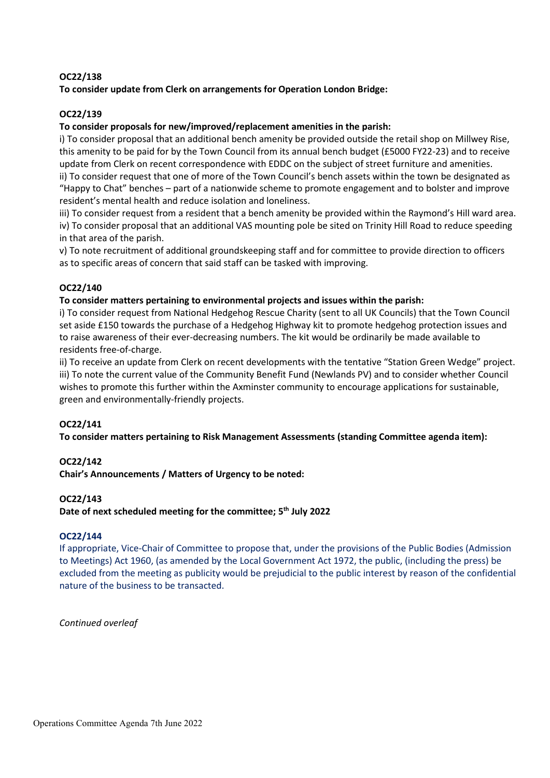## **OC22/138**

**To consider update from Clerk on arrangements for Operation London Bridge:**

## **OC22/139**

## **To consider proposals for new/improved/replacement amenities in the parish:**

i) To consider proposal that an additional bench amenity be provided outside the retail shop on Millwey Rise, this amenity to be paid for by the Town Council from its annual bench budget (£5000 FY22-23) and to receive update from Clerk on recent correspondence with EDDC on the subject of street furniture and amenities.

ii) To consider request that one of more of the Town Council's bench assets within the town be designated as "Happy to Chat" benches – part of a nationwide scheme to promote engagement and to bolster and improve resident's mental health and reduce isolation and loneliness.

iii) To consider request from a resident that a bench amenity be provided within the Raymond's Hill ward area. iv) To consider proposal that an additional VAS mounting pole be sited on Trinity Hill Road to reduce speeding in that area of the parish.

v) To note recruitment of additional groundskeeping staff and for committee to provide direction to officers as to specific areas of concern that said staff can be tasked with improving.

## **OC22/140**

## **To consider matters pertaining to environmental projects and issues within the parish:**

i) To consider request from National Hedgehog Rescue Charity (sent to all UK Councils) that the Town Council set aside £150 towards the purchase of a Hedgehog Highway kit to promote hedgehog protection issues and to raise awareness of their ever-decreasing numbers. The kit would be ordinarily be made available to residents free-of-charge.

ii) To receive an update from Clerk on recent developments with the tentative "Station Green Wedge" project. iii) To note the current value of the Community Benefit Fund (Newlands PV) and to consider whether Council wishes to promote this further within the Axminster community to encourage applications for sustainable, green and environmentally-friendly projects.

## **OC22/141**

**To consider matters pertaining to Risk Management Assessments (standing Committee agenda item):**

## **OC22/142**

**Chair's Announcements / Matters of Urgency to be noted:**

## **OC22/143**

**Date of next scheduled meeting for the committee; 5 th July 2022**

## **OC22/144**

If appropriate, Vice-Chair of Committee to propose that, under the provisions of the Public Bodies (Admission to Meetings) Act 1960, (as amended by the Local Government Act 1972, the public, (including the press) be excluded from the meeting as publicity would be prejudicial to the public interest by reason of the confidential nature of the business to be transacted.

*Continued overleaf*